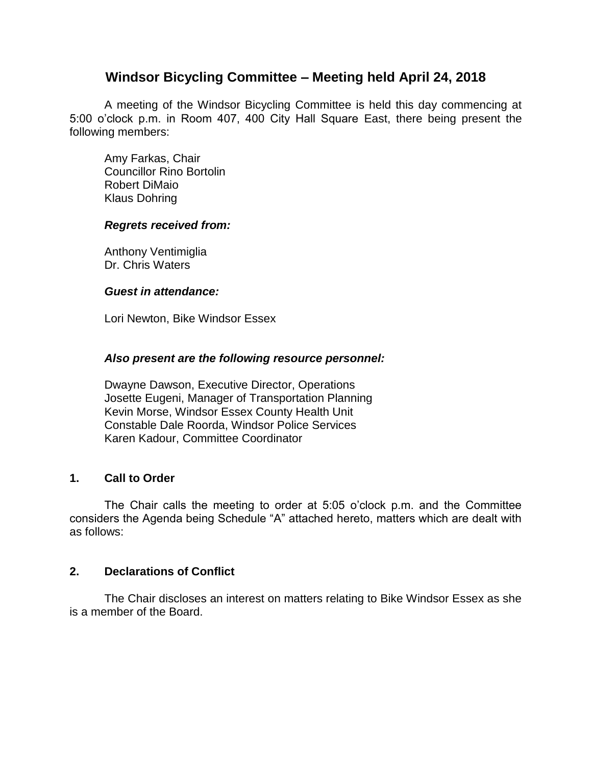# **Windsor Bicycling Committee – Meeting held April 24, 2018**

A meeting of the Windsor Bicycling Committee is held this day commencing at 5:00 o'clock p.m. in Room 407, 400 City Hall Square East, there being present the following members:

Amy Farkas, Chair Councillor Rino Bortolin Robert DiMaio Klaus Dohring

#### *Regrets received from:*

Anthony Ventimiglia Dr. Chris Waters

#### *Guest in attendance:*

Lori Newton, Bike Windsor Essex

#### *Also present are the following resource personnel:*

Dwayne Dawson, Executive Director, Operations Josette Eugeni, Manager of Transportation Planning Kevin Morse, Windsor Essex County Health Unit Constable Dale Roorda, Windsor Police Services Karen Kadour, Committee Coordinator

## **1. Call to Order**

The Chair calls the meeting to order at 5:05 o'clock p.m. and the Committee considers the Agenda being Schedule "A" attached hereto, matters which are dealt with as follows:

#### **2. Declarations of Conflict**

The Chair discloses an interest on matters relating to Bike Windsor Essex as she is a member of the Board.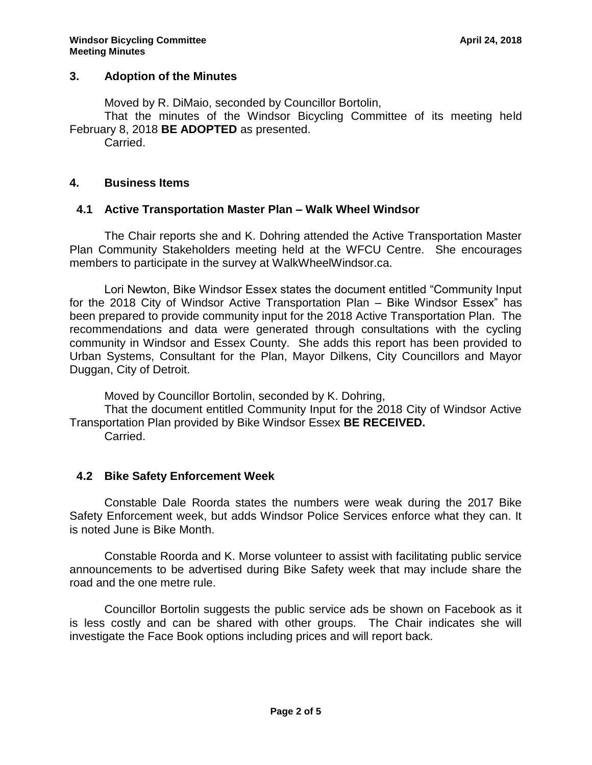## **3. Adoption of the Minutes**

Moved by R. DiMaio, seconded by Councillor Bortolin,

That the minutes of the Windsor Bicycling Committee of its meeting held February 8, 2018 **BE ADOPTED** as presented.

Carried.

### **4. Business Items**

### **4.1 Active Transportation Master Plan – Walk Wheel Windsor**

The Chair reports she and K. Dohring attended the Active Transportation Master Plan Community Stakeholders meeting held at the WFCU Centre. She encourages members to participate in the survey at WalkWheelWindsor.ca.

Lori Newton, Bike Windsor Essex states the document entitled "Community Input for the 2018 City of Windsor Active Transportation Plan – Bike Windsor Essex" has been prepared to provide community input for the 2018 Active Transportation Plan. The recommendations and data were generated through consultations with the cycling community in Windsor and Essex County. She adds this report has been provided to Urban Systems, Consultant for the Plan, Mayor Dilkens, City Councillors and Mayor Duggan, City of Detroit.

Moved by Councillor Bortolin, seconded by K. Dohring,

That the document entitled Community Input for the 2018 City of Windsor Active Transportation Plan provided by Bike Windsor Essex **BE RECEIVED.**

Carried.

## **4.2 Bike Safety Enforcement Week**

Constable Dale Roorda states the numbers were weak during the 2017 Bike Safety Enforcement week, but adds Windsor Police Services enforce what they can. It is noted June is Bike Month.

Constable Roorda and K. Morse volunteer to assist with facilitating public service announcements to be advertised during Bike Safety week that may include share the road and the one metre rule.

Councillor Bortolin suggests the public service ads be shown on Facebook as it is less costly and can be shared with other groups. The Chair indicates she will investigate the Face Book options including prices and will report back.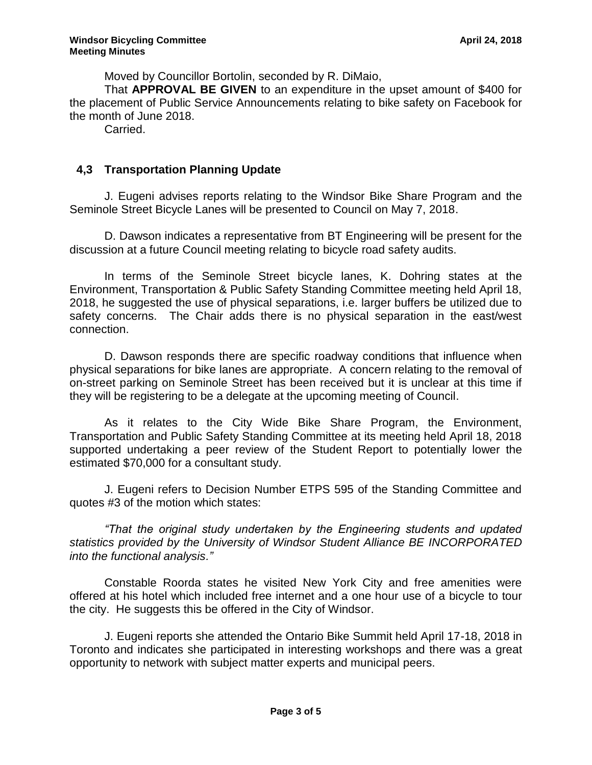Moved by Councillor Bortolin, seconded by R. DiMaio,

That **APPROVAL BE GIVEN** to an expenditure in the upset amount of \$400 for the placement of Public Service Announcements relating to bike safety on Facebook for the month of June 2018.

Carried.

# **4,3 Transportation Planning Update**

J. Eugeni advises reports relating to the Windsor Bike Share Program and the Seminole Street Bicycle Lanes will be presented to Council on May 7, 2018.

D. Dawson indicates a representative from BT Engineering will be present for the discussion at a future Council meeting relating to bicycle road safety audits.

In terms of the Seminole Street bicycle lanes, K. Dohring states at the Environment, Transportation & Public Safety Standing Committee meeting held April 18, 2018, he suggested the use of physical separations, i.e. larger buffers be utilized due to safety concerns. The Chair adds there is no physical separation in the east/west connection.

D. Dawson responds there are specific roadway conditions that influence when physical separations for bike lanes are appropriate. A concern relating to the removal of on-street parking on Seminole Street has been received but it is unclear at this time if they will be registering to be a delegate at the upcoming meeting of Council.

As it relates to the City Wide Bike Share Program, the Environment, Transportation and Public Safety Standing Committee at its meeting held April 18, 2018 supported undertaking a peer review of the Student Report to potentially lower the estimated \$70,000 for a consultant study.

J. Eugeni refers to Decision Number ETPS 595 of the Standing Committee and quotes #3 of the motion which states:

*"That the original study undertaken by the Engineering students and updated statistics provided by the University of Windsor Student Alliance BE INCORPORATED into the functional analysis."*

Constable Roorda states he visited New York City and free amenities were offered at his hotel which included free internet and a one hour use of a bicycle to tour the city. He suggests this be offered in the City of Windsor.

J. Eugeni reports she attended the Ontario Bike Summit held April 17-18, 2018 in Toronto and indicates she participated in interesting workshops and there was a great opportunity to network with subject matter experts and municipal peers.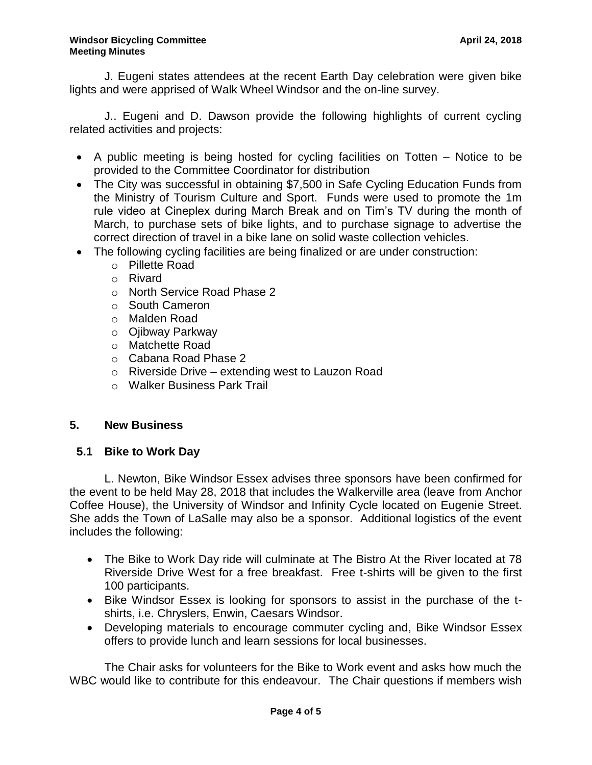J. Eugeni states attendees at the recent Earth Day celebration were given bike lights and were apprised of Walk Wheel Windsor and the on-line survey.

J.. Eugeni and D. Dawson provide the following highlights of current cycling related activities and projects:

- A public meeting is being hosted for cycling facilities on Totten Notice to be provided to the Committee Coordinator for distribution
- The City was successful in obtaining \$7,500 in Safe Cycling Education Funds from the Ministry of Tourism Culture and Sport. Funds were used to promote the 1m rule video at Cineplex during March Break and on Tim's TV during the month of March, to purchase sets of bike lights, and to purchase signage to advertise the correct direction of travel in a bike lane on solid waste collection vehicles.
- The following cycling facilities are being finalized or are under construction:
	- o Pillette Road
	- o Rivard
	- o North Service Road Phase 2
	- o South Cameron
	- o Malden Road
	- o Ojibway Parkway
	- o Matchette Road
	- o Cabana Road Phase 2
	- o Riverside Drive extending west to Lauzon Road
	- o Walker Business Park Trail

## **5. New Business**

# **5.1 Bike to Work Day**

L. Newton, Bike Windsor Essex advises three sponsors have been confirmed for the event to be held May 28, 2018 that includes the Walkerville area (leave from Anchor Coffee House), the University of Windsor and Infinity Cycle located on Eugenie Street. She adds the Town of LaSalle may also be a sponsor. Additional logistics of the event includes the following:

- The Bike to Work Day ride will culminate at The Bistro At the River located at 78 Riverside Drive West for a free breakfast. Free t-shirts will be given to the first 100 participants.
- Bike Windsor Essex is looking for sponsors to assist in the purchase of the tshirts, i.e. Chryslers, Enwin, Caesars Windsor.
- Developing materials to encourage commuter cycling and, Bike Windsor Essex offers to provide lunch and learn sessions for local businesses.

The Chair asks for volunteers for the Bike to Work event and asks how much the WBC would like to contribute for this endeavour. The Chair questions if members wish